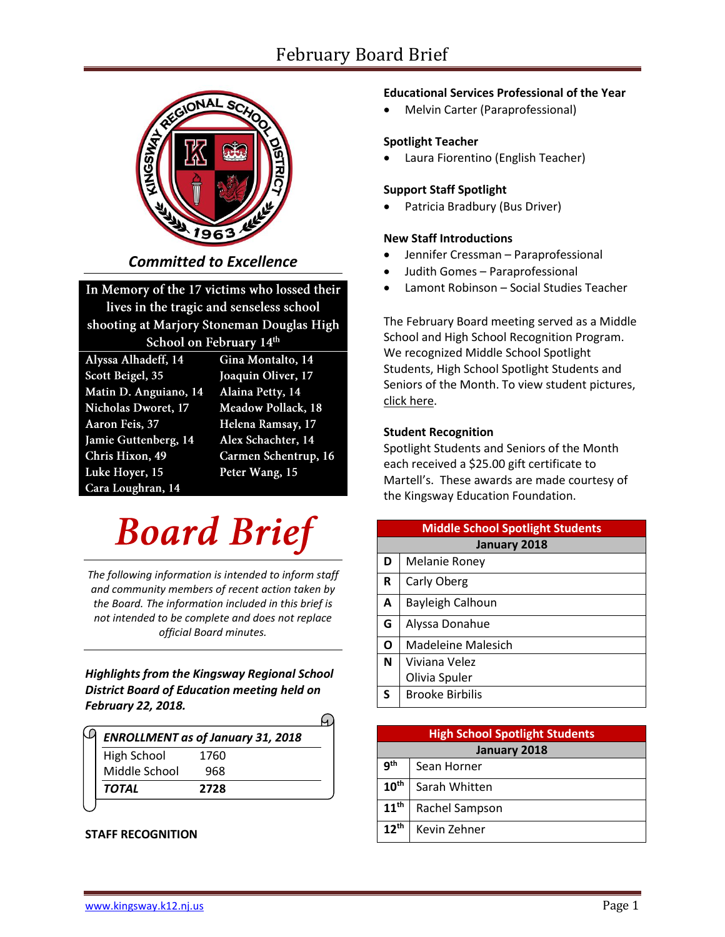# February Board Brief



*Committed to Excellence*

## In Memory of the 17 victims who lossed their

lives in the tragic and senseless school shooting at Marjory Stoneman Douglas High School on February 14th

| Alyssa Alhadeff, 14         |  |  |
|-----------------------------|--|--|
| Scott Beigel, 35            |  |  |
| Matin D. Anguiano, 14       |  |  |
| <b>Nicholas Dworet</b> , 17 |  |  |
| Aaron Feis, 37              |  |  |
| Jamie Guttenberg, 14        |  |  |
| Chris Hixon, 49             |  |  |
| Luke Hoyer, 15              |  |  |
| Cara Loughran, 14           |  |  |

Gina Montalto, 14 Joaquin Oliver, 17 Alaina Petty, 14 Meadow Pollack, 18 Helena Ramsay, 17 Alex Schachter, 14 Carmen Schentrup, 16 Peter Wang, 15

# **Board Brief**

*The following information is intended to inform staff and community members of recent action taken by the Board. The information included in this brief is not intended to be complete and does not replace official Board minutes.*

*Highlights from the Kingsway Regional School District Board of Education meeting held on February 22, 2018.* 

| <b>ENROLLMENT as of January 31, 2018</b> |      |  |  |
|------------------------------------------|------|--|--|
| High School                              | 1760 |  |  |
| Middle School                            | 968  |  |  |
| <b>TOTAL</b>                             | 2728 |  |  |
|                                          |      |  |  |

**STAFF RECOGNITION** 

#### **Educational Services Professional of the Year**

Melvin Carter (Paraprofessional)

#### **Spotlight Teacher**

Laura Fiorentino (English Teacher)

#### **Support Staff Spotlight**

Patricia Bradbury (Bus Driver)

#### **New Staff Introductions**

- Jennifer Cressman Paraprofessional
- Judith Gomes Paraprofessional
- Lamont Robinson Social Studies Teacher

The February Board meeting served as a Middle School and High School Recognition Program. We recognized Middle School Spotlight Students, High School Spotlight Students and Seniors of the Month. To view student picture[s,](https://www.krsd.org/Page/1303) [click here.](https://www.krsd.org/Page/1303)

#### **Student Recognition**

Spotlight Students and Seniors of the Month each received a \$25.00 gift certificate to Martell's. These awards are made courtesy of the Kingsway Education Foundation.

| <b>Middle School Spotlight Students</b> |                         |  |
|-----------------------------------------|-------------------------|--|
| January 2018                            |                         |  |
| D                                       | Melanie Roney           |  |
| R                                       | Carly Oberg             |  |
| A                                       | <b>Bayleigh Calhoun</b> |  |
| G                                       | Alyssa Donahue          |  |
| Ο                                       | Madeleine Malesich      |  |
| N                                       | Viviana Velez           |  |
|                                         | Olivia Spuler           |  |
| S                                       | <b>Brooke Birbilis</b>  |  |

| <b>High School Spotlight Students</b> |                |  |
|---------------------------------------|----------------|--|
| January 2018                          |                |  |
| gth                                   | Sean Horner    |  |
| $10^{\text{th}}$                      | Sarah Whitten  |  |
| $11^{\text{th}}$                      | Rachel Sampson |  |
| $12^{th}$                             | Kevin Zehner   |  |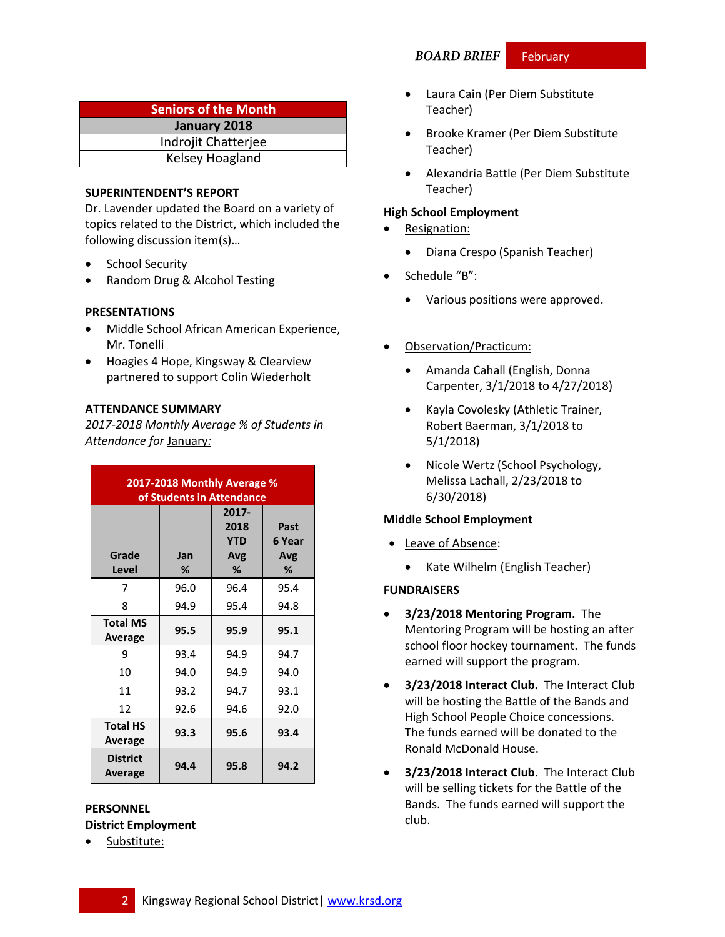| <b>Seniors of the Month</b> |  |  |
|-----------------------------|--|--|
| January 2018                |  |  |
| Indrojit Chatterjee         |  |  |
| Kelsey Hoagland             |  |  |

#### **SUPERINTENDENT'S REPORT**

Dr. Lavender updated the Board on a variety of topics related to the District, which included the following discussion item(s)…

- School Security
- Random Drug & Alcohol Testing

#### **PRESENTATIONS**

- Middle School African American Experience, Mr. Tonelli
- Hoagies 4 Hope, Kingsway & Clearview partnered to support Colin Wiederholt

#### **ATTENDANCE SUMMARY**

*2017-2018 Monthly Average % of Students in Attendance for* January*:*

| 2017-2018 Monthly Average %<br>of Students in Attendance |          |                                         |                            |
|----------------------------------------------------------|----------|-----------------------------------------|----------------------------|
| Grade<br>Level                                           | Jan<br>% | 2017-<br>2018<br><b>YTD</b><br>Avg<br>% | Past<br>6 Year<br>Avg<br>% |
| 7                                                        | 96.0     | 96.4                                    | 95.4                       |
| 8                                                        | 94.9     | 95.4                                    | 94.8                       |
| <b>Total MS</b><br><b>Average</b>                        | 95.5     | 95.9                                    | 95.1                       |
| 9                                                        | 93.4     | 94.9                                    | 94.7                       |
| 10                                                       | 94.0     | 94.9                                    | 94.0                       |
| 11                                                       | 93.2     | 94.7                                    | 93.1                       |
| 12                                                       | 92.6     | 94.6                                    | 92.0                       |
| <b>Total HS</b><br>Average                               | 93.3     | 95.6                                    | 93.4                       |
| <b>District</b><br>Average                               | 94.4     | 95.8                                    | 94.2                       |

### **PERSONNEL District Employment**

Substitute:

- Laura Cain (Per Diem Substitute Teacher)
- Brooke Kramer (Per Diem Substitute Teacher)
- Alexandria Battle (Per Diem Substitute Teacher)

#### **High School Employment**

- Resignation:
	- Diana Crespo (Spanish Teacher)
- Schedule "B":
	- Various positions were approved.
- Observation/Practicum:
	- Amanda Cahall (English, Donna Carpenter, 3/1/2018 to 4/27/2018)
	- Kayla Covolesky (Athletic Trainer, Robert Baerman, 3/1/2018 to 5/1/2018)
	- Nicole Wertz (School Psychology, Melissa Lachall, 2/23/2018 to 6/30/2018)

#### **Middle School Employment**

- Leave of Absence:
	- Kate Wilhelm (English Teacher)

#### **FUNDRAISERS**

- **3/23/2018 Mentoring Program.** The Mentoring Program will be hosting an after school floor hockey tournament. The funds earned will support the program.
- **3/23/2018 Interact Club.** The Interact Club will be hosting the Battle of the Bands and High School People Choice concessions. The funds earned will be donated to the Ronald McDonald House.
- **3/23/2018 Interact Club.** The Interact Club will be selling tickets for the Battle of the Bands. The funds earned will support the club.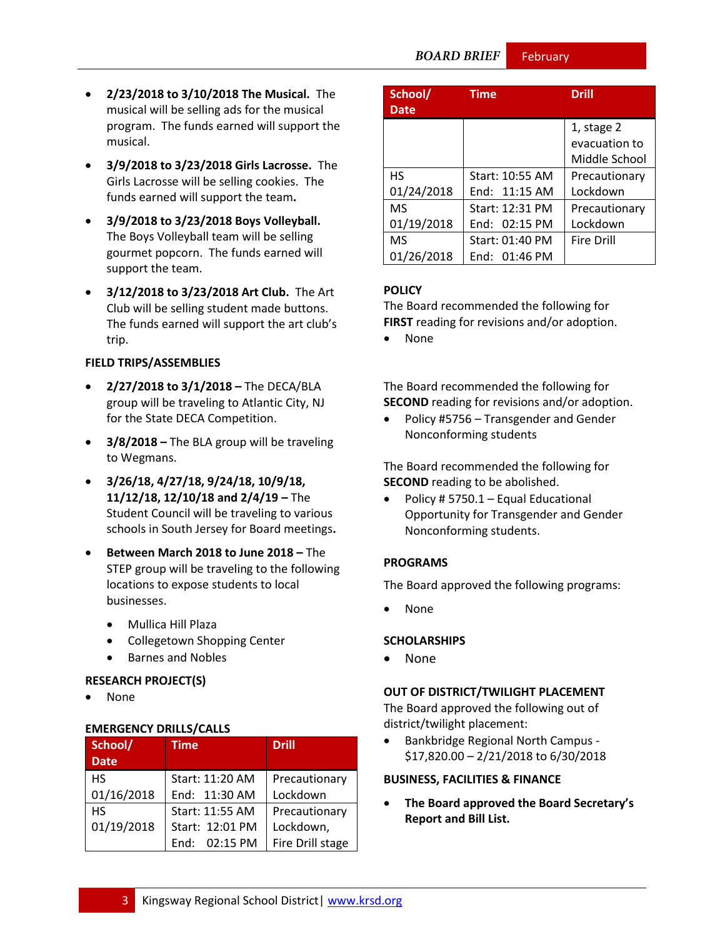**BOARD BRIEF** 

February

- **2/23/2018 to 3/10/2018 The Musical.** The musical will be selling ads for the musical program. The funds earned will support the musical.
- **3/9/2018 to 3/23/2018 Girls Lacrosse.** The Girls Lacrosse will be selling cookies. The funds earned will support the team**.**
- **3/9/2018 to 3/23/2018 Boys Volleyball.**  The Boys Volleyball team will be selling gourmet popcorn. The funds earned will support the team.
- **3/12/2018 to 3/23/2018 Art Club.** The Art Club will be selling student made buttons. The funds earned will support the art club's trip.

#### **FIELD TRIPS/ASSEMBLIES**

- **2/27/2018 to 3/1/2018 –** The DECA/BLA group will be traveling to Atlantic City, NJ for the State DECA Competition.
- **3/8/2018 –** The BLA group will be traveling to Wegmans.
- **3/26/18, 4/27/18, 9/24/18, 10/9/18, 11/12/18, 12/10/18 and 2/4/19 –** The Student Council will be traveling to various schools in South Jersey for Board meetings**.**
- **Between March 2018 to June 2018 –** The STEP group will be traveling to the following locations to expose students to local businesses.
	- Mullica Hill Plaza
	- Collegetown Shopping Center
	- **•** Barnes and Nobles

#### **RESEARCH PROJECT(S)**

None

#### **EMERGENCY DRILLS/CALLS**

| School/     | <b>Time</b>     | <b>Drill</b>     |
|-------------|-----------------|------------------|
| <b>Date</b> |                 |                  |
| <b>HS</b>   | Start: 11:20 AM | Precautionary    |
| 01/16/2018  | End: 11:30 AM   | Lockdown         |
| <b>HS</b>   | Start: 11:55 AM | Precautionary    |
| 01/19/2018  | Start: 12:01 PM | Lockdown,        |
|             | End: 02:15 PM   | Fire Drill stage |

| School/<br><b>Date</b> | <b>Time</b>     | <b>Drill</b>      |
|------------------------|-----------------|-------------------|
|                        |                 | 1, stage 2        |
|                        |                 | evacuation to     |
|                        |                 | Middle School     |
| <b>HS</b>              | Start: 10:55 AM | Precautionary     |
| 01/24/2018             | End: 11:15 AM   | Lockdown          |
| M <sub>S</sub>         | Start: 12:31 PM | Precautionary     |
| 01/19/2018             | End: 02:15 PM   | Lockdown          |
| <b>MS</b>              | Start: 01:40 PM | <b>Fire Drill</b> |
| 01/26/2018             | End: $01:46$ PM |                   |

#### **[POLICY](http://www.straussesmay.com/seportal/Public/DistrictPolicyTOC.aspx?id=f0cc945ef3894b8d9ad5f87d948ca425&PolicyID=)**

The Board recommended the following for **FIRST** reading for revisions and/or adoption.

None

The Board recommended the following for **SECOND** reading for revisions and/or adoption.

• Policy #5756 – Transgender and Gender Nonconforming students

The Board recommended the following for **SECOND** reading to be abolished.

• Policy # 5750.1 – Equal Educational Opportunity for Transgender and Gender Nonconforming students.

#### **PROGRAMS**

The Board approved the following programs:

None

#### **SCHOLARSHIPS**

• None

#### **OUT OF DISTRICT/TWILIGHT PLACEMENT**

The Board approved the following out of district/twilight placement:

 Bankbridge Regional North Campus - \$17,820.00 – 2/21/2018 to 6/30/2018

#### **BUSINESS, FACILITIES & FINANCE**

 **The Board approved the Board Secretary's Report and Bill List.**